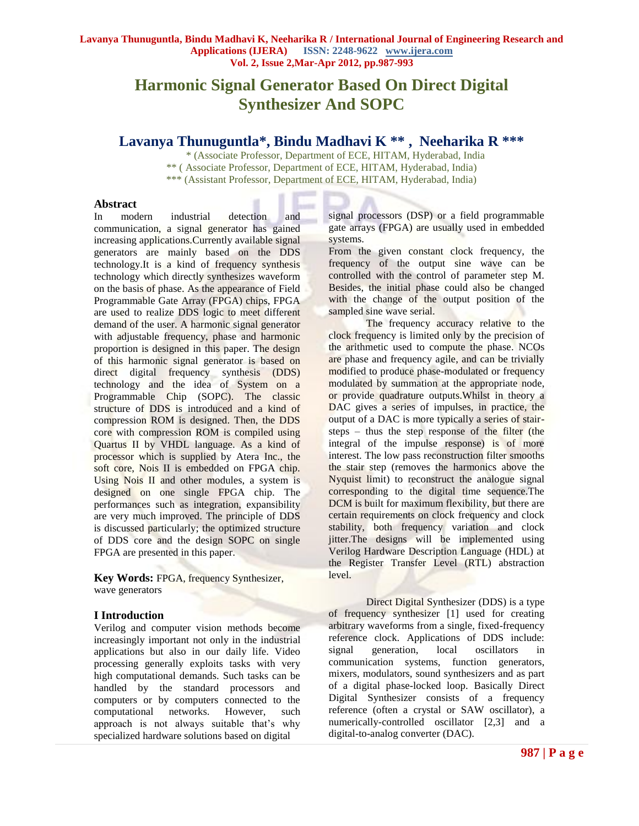# **Harmonic Signal Generator Based On Direct Digital Synthesizer And SOPC**

# **Lavanya Thunuguntla\*, Bindu Madhavi K \*\* , Neeharika R \*\*\***

\* (Associate Professor, Department of ECE, HITAM, Hyderabad, India \*\* ( Associate Professor, Department of ECE, HITAM, Hyderabad, India) \*\*\* (Assistant Professor, Department of ECE, HITAM, Hyderabad, India)

## **Abstract**

In modern industrial detection and communication, a signal generator has gained increasing applications.Currently available signal generators are mainly based on the DDS technology.It is a kind of frequency synthesis technology which directly synthesizes waveform on the basis of phase. As the appearance of Field Programmable Gate Array (FPGA) chips, FPGA are used to realize DDS logic to meet different demand of the user. A harmonic signal generator with adjustable frequency, phase and harmonic proportion is designed in this paper. The design of this harmonic signal generator is based on direct digital frequency synthesis (DDS) technology and the idea of System on a Programmable Chip (SOPC). The classic structure of DDS is introduced and a kind of compression ROM is designed. Then, the DDS core with compression ROM is compiled using Quartus II by VHDL language. As a kind of processor which is supplied by Atera Inc., the soft core, Nois II is embedded on FPGA chip. Using Nois II and other modules, a system is designed on one single FPGA chip. The performances such as integration, expansibility are very much improved. The principle of DDS is discussed particularly; the optimized structure of DDS core and the design SOPC on single FPGA are presented in this paper.

**Key Words:** FPGA, frequency Synthesizer, wave generators

# **I Introduction**

Verilog and computer vision methods become increasingly important not only in the industrial applications but also in our daily life. Video processing generally exploits tasks with very high computational demands. Such tasks can be handled by the standard processors and computers or by computers connected to the computational networks. However, such approach is not always suitable that's why specialized hardware solutions based on digital

signal processors (DSP) or a field programmable gate arrays (FPGA) are usually used in embedded systems.

From the given constant clock frequency, the frequency of the output sine wave can be controlled with the control of parameter step M. Besides, the initial phase could also be changed with the change of the output position of the sampled sine wave serial.

The frequency accuracy relative to the clock frequency is limited only by the precision of the arithmetic used to compute the phase. NCOs are phase and frequency agile, and can be trivially modified to produce [phase-modulated](http://en.wikipedia.org/wiki/Phase_modulation) or [frequency](http://en.wikipedia.org/wiki/Frequency_modulation)  [modulated](http://en.wikipedia.org/wiki/Frequency_modulation) by summation at the appropriate node, or provide [quadrature](http://en.wikipedia.org/wiki/Quadrature_phase) outputs.Whilst in theory a DAC gives a series of [impulses,](http://en.wikipedia.org/wiki/Impulse_response) in practice, the output of a DAC is more typically a series of stairsteps – thus the [step response](http://en.wikipedia.org/wiki/Step_response) of the filter (the integral of the impulse response) is of more interest. The [low pass](http://en.wikipedia.org/wiki/Low-pass_filter) reconstruction filter smooths the stair step (removes the harmonics above the [Nyquist limit\)](http://en.wikipedia.org/wiki/Nyquist_frequency) to reconstruct the analogue signal corresponding to the digital time sequence.The DCM is built for maximum flexibility, but there are certain requirements on clock frequency and clock stability, both frequency variation and clock jitter.The designs will be implemented using Verilog Hardware Description Language (HDL) at the Register Transfer Level (RTL) abstraction level.

Direct Digital Synthesizer (DDS) is a type of [frequency synthesizer](http://en.wikipedia.org/wiki/Frequency_synthesizer) [1] used for creating arbitrary [waveforms](http://en.wikipedia.org/wiki/Waveform) from a single, fixed-frequency reference clock. Applications of DDS include: [signal generation,](http://en.wikipedia.org/wiki/Signal_generator) [local oscillators](http://en.wikipedia.org/wiki/Local_oscillator) in communication systems, [function generators,](http://en.wikipedia.org/wiki/Function_generator) mixers, [modulators,](http://en.wikipedia.org/wiki/Modulator) [sound synthesizers](http://en.wikipedia.org/wiki/Wave_table_synthesis) and as part of a digital phase-locked loop. Basically Direct Digital Synthesizer consists of a frequency reference (often a [crystal](http://en.wikipedia.org/wiki/Crystal_oscillator) or [SAW](http://en.wikipedia.org/wiki/Surface_acoustic_wave) oscillator), a [numerically-controlled oscillator](http://en.wikipedia.org/wiki/Numerically-controlled_oscillator) [2,3] and a [digital-to-analog converter](http://en.wikipedia.org/wiki/Digital-to-analog_converter) (DAC).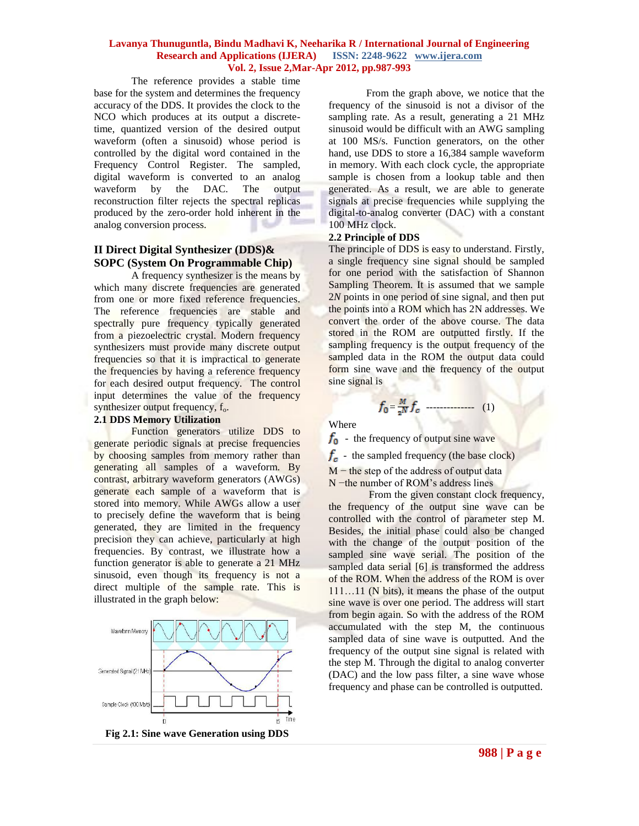The reference provides a stable time base for the system and determines the frequency accuracy of the DDS. It provides the clock to the NCO which produces at its output a discretetime, [quantized](http://en.wikipedia.org/wiki/Quantization_%28signal_processing%29) version of the desired output waveform (often a [sinusoid\)](http://en.wikipedia.org/wiki/Sinusoid) whose period is controlled by the digital word contained in the Frequency Control Register. The sampled, digital waveform is converted to an analog waveform by the DAC. The output reconstruction filter rejects the spectral replicas produced by the [zero-order hold](http://en.wikipedia.org/wiki/Zero-order_hold) inherent in the analog conversion process.

# **II Direct Digital Synthesizer (DDS)& SOPC (System On Programmable Chip)**

A frequency synthesizer is the means by which many discrete frequencies are generated from one or more fixed reference frequencies. The reference frequencies are stable and spectrally pure frequency typically generated from a piezoelectric crystal. Modern frequency synthesizers must provide many discrete output frequencies so that it is impractical to generate the frequencies by having a reference frequency for each desired output frequency. The control input determines the value of the frequency synthesizer output frequency,  $f_0$ .

# **2.1 DDS Memory Utilization**

Function generators utilize DDS to generate periodic signals at precise frequencies by choosing samples from memory rather than generating all samples of a waveform. By contrast, arbitrary waveform generators (AWGs) generate each sample of a waveform that is stored into memory. While AWGs allow a user to precisely define the waveform that is being generated, they are limited in the frequency precision they can achieve, particularly at high frequencies. By contrast, we illustrate how a function generator is able to generate a 21 MHz sinusoid, even though its frequency is not a direct multiple of the sample rate. This is illustrated in the graph below:





From the graph above, we notice that the frequency of the sinusoid is not a divisor of the sampling rate. As a result, generating a 21 MHz sinusoid would be difficult with an AWG sampling at 100 MS/s. Function generators, on the other hand, use DDS to store a 16,384 sample waveform in memory. With each clock cycle, the appropriate sample is chosen from a lookup table and then generated. As a result, we are able to generate signals at precise frequencies while supplying the digital-to-analog converter (DAC) with a constant 100 MHz clock.

## **2.2 Principle of DDS**

The principle of DDS is easy to understand. Firstly, a single frequency sine signal should be sampled for one period with the satisfaction of Shannon Sampling Theorem. It is assumed that we sample 2*N* points in one period of sine signal, and then put the points into a ROM which has 2N addresses. We convert the order of the above course. The data stored in the ROM are outputted firstly. If the sampling frequency is the output frequency of the sampled data in the ROM the output data could form sine wave and the frequency of the output sine signal is

= -------------- (1)

Where

 $f_0$  - the frequency of output sine wave

 $f_c$  - the sampled frequency (the base clock)

M – the step of the address of output data

N −the number of ROM's address lines

From the given constant clock frequency, the frequency of the output sine wave can be controlled with the control of parameter step M. Besides, the initial phase could also be changed with the change of the output position of the sampled sine wave serial. The position of the sampled data serial [6] is transformed the address of the ROM. When the address of the ROM is over 111...11 (N bits), it means the phase of the output sine wave is over one period. The address will start from begin again. So with the address of the ROM accumulated with the step M, the continuous sampled data of sine wave is outputted. And the frequency of the output sine signal is related with the step M. Through the digital to analog converter (DAC) and the low pass filter, a sine wave whose frequency and phase can be controlled is outputted.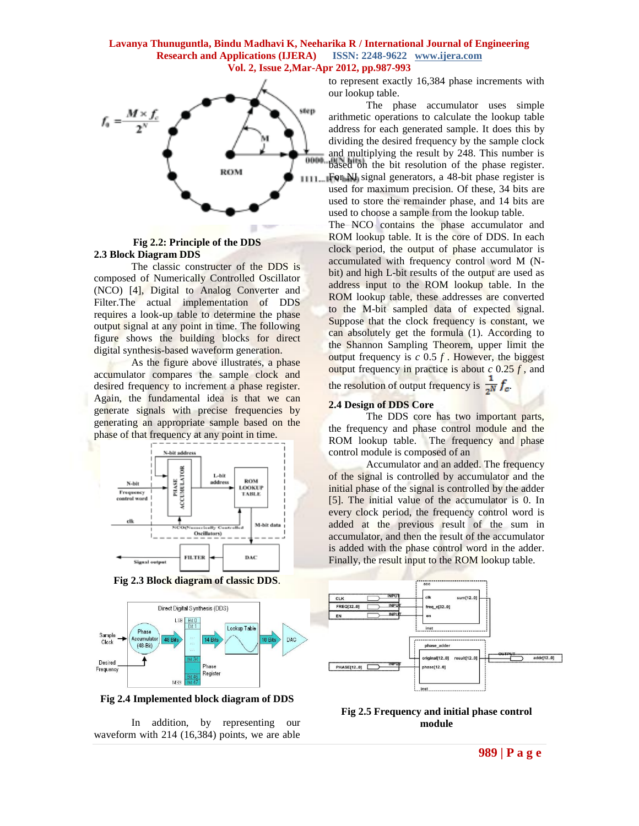

#### **Fig 2.2: Principle of the DDS 2.3 Block Diagram DDS**

The classic constructer of the DDS is composed of Numerically Controlled Oscillator (NCO) [4], Digital to Analog Converter and Filter.The actual implementation of DDS requires a look-up table to determine the phase output signal at any point in time. The following figure shows the building blocks for direct digital synthesis-based waveform generation.

As the figure above illustrates, a phase accumulator compares the sample clock and desired frequency to increment a phase register. Again, the fundamental idea is that we can generate signals with precise frequencies by generating an appropriate sample based on the phase of that frequency at any point in time.



**Fig 2.3 Block diagram of classic DDS**.



**Fig 2.4 Implemented block diagram of DDS**

In addition, by representing our waveform with 214 (16,384) points, we are able to represent exactly 16,384 phase increments with our lookup table.

The phase accumulator uses simple arithmetic operations to calculate the lookup table address for each generated sample. It does this by dividing the desired frequency by the sample clock and multiplying the result by 248. This number is based on the bit resolution of the phase register. For NI signal generators, a 48-bit phase register is used for maximum precision. Of these, 34 bits are used to store the remainder phase, and 14 bits are used to choose a sample from the lookup table.

The NCO contains the phase accumulator and ROM lookup table. It is the core of DDS. In each clock period, the output of phase accumulator is accumulated with frequency control word M (Nbit) and high L-bit results of the output are used as address input to the ROM lookup table. In the ROM lookup table, these addresses are converted to the M-bit sampled data of expected signal. Suppose that the clock frequency is constant, we can absolutely get the formula (1). According to the Shannon Sampling Theorem, upper limit the output frequency is *c* 0.5 *f* . However, the biggest output frequency in practice is about *c* 0.25 *f* , and

the resolution of output frequency is  $\frac{1}{2N} f_c$ .

## **2.4 Design of DDS Core**

The DDS core has two important parts, the frequency and phase control module and the ROM lookup table. The frequency and phase control module is composed of an

Accumulator and an added. The frequency of the signal is controlled by accumulator and the initial phase of the signal is controlled by the adder [5]. The initial value of the accumulator is 0. In every clock period, the frequency control word is added at the previous result of the sum in accumulator, and then the result of the accumulator is added with the phase control word in the adder. Finally, the result input to the ROM lookup table.



**Fig 2.5 Frequency and initial phase control module**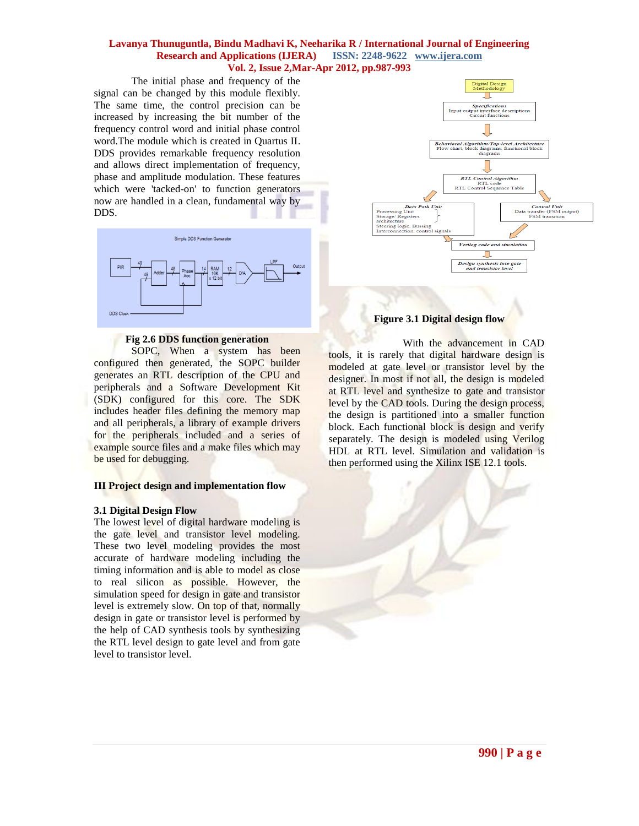The initial phase and frequency of the signal can be changed by this module flexibly. The same time, the control precision can be increased by increasing the bit number of the frequency control word and initial phase control word.The module which is created in Quartus II. DDS provides remarkable frequency resolution and allows direct implementation of frequency, phase and amplitude modulation. These features which were 'tacked-on' to function generators now are handled in a clean, fundamental way by DDS.



## **Fig 2.6 DDS function generation**

SOPC, When a system has been configured then generated, the SOPC builder generates an RTL description of the CPU and peripherals and a Software Development Kit (SDK) configured for this core. The SDK includes header files defining the memory map and all peripherals, a library of example drivers for the peripherals included and a series of example source files and a make files which may be used for debugging.

# **III Project design and implementation flow**

#### **3.1 Digital Design Flow**

The lowest level of digital hardware modeling is the gate level and transistor level modeling. These two level modeling provides the most accurate of hardware modeling including the timing information and is able to model as close to real silicon as possible. However, the simulation speed for design in gate and transistor level is extremely slow. On top of that, normally design in gate or transistor level is performed by the help of CAD synthesis tools by synthesizing the RTL level design to gate level and from gate level to transistor level.



# **Figure 3.1 Digital design flow**

With the advancement in CAD tools, it is rarely that digital hardware design is modeled at gate level or transistor level by the designer. In most if not all, the design is modeled at RTL level and synthesize to gate and transistor level by the CAD tools. During the design process, the design is partitioned into a smaller function block. Each functional block is design and verify separately. The design is modeled using Verilog HDL at RTL level. Simulation and validation is then performed using the Xilinx ISE 12.1 tools.

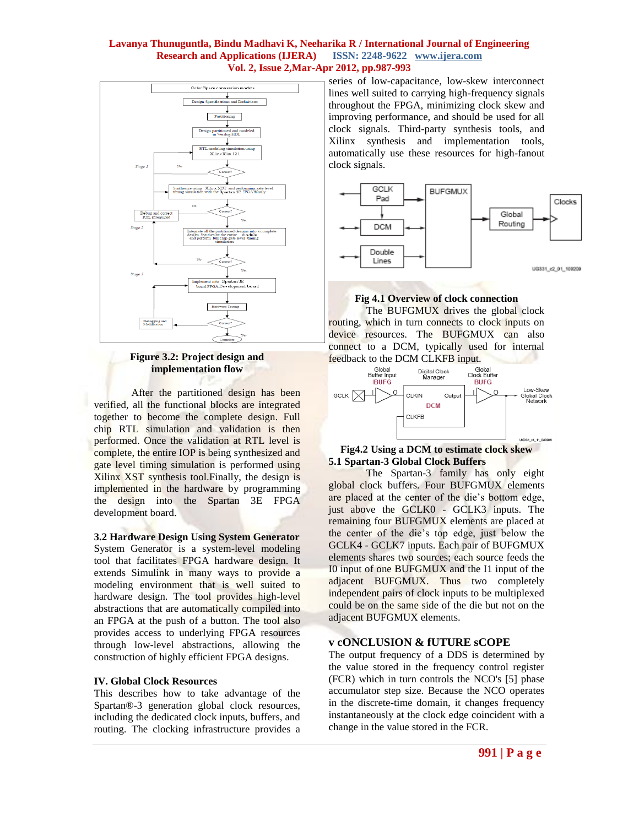

#### **Figure 3.2: Project design and implementation flow**

After the partitioned design has been verified, all the functional blocks are integrated together to become the complete design. Full chip RTL simulation and validation is then performed. Once the validation at RTL level is complete, the entire IOP is being synthesized and gate level timing simulation is performed using Xilinx XST synthesis tool.Finally, the design is implemented in the hardware by programming the design into the Spartan 3E FPGA development board.

**3.2 Hardware Design Using System Generator** System Generator is a system-level modeling tool that facilitates FPGA hardware design. It extends Simulink in many ways to provide a modeling environment that is well suited to hardware design. The tool provides high-level abstractions that are automatically compiled into an FPGA at the push of a button. The tool also provides access to underlying FPGA resources through low-level abstractions, allowing the

# **IV. Global Clock Resources**

This describes how to take advantage of the Spartan®-3 generation global clock resources, including the dedicated clock inputs, buffers, and routing. The clocking infrastructure provides a

construction of highly efficient FPGA designs.

series of low-capacitance, low-skew interconnect lines well suited to carrying high-frequency signals throughout the FPGA, minimizing clock skew and improving performance, and should be used for all clock signals. Third-party synthesis tools, and Xilinx synthesis and implementation tools, automatically use these resources for high-fanout clock signals.



# **Fig 4.1 Overview of clock connection**

The BUFGMUX drives the global clock routing, which in turn connects to clock inputs on device resources. The BUFGMUX can also connect to a DCM, typically used for internal



## **Fig4.2 Using a DCM to estimate clock skew 5.1 Spartan-3 Global Clock Buffers**

The Spartan-3 family has only eight global clock buffers. Four BUFGMUX elements are placed at the center of the die's bottom edge, just above the GCLK0 - GCLK3 inputs. The remaining four BUFGMUX elements are placed at the center of the die's top edge, just below the GCLK4 - GCLK7 inputs. Each pair of BUFGMUX elements shares two sources; each source feeds the I0 input of one BUFGMUX and the I1 input of the adjacent BUFGMUX. Thus two completely independent pairs of clock inputs to be multiplexed could be on the same side of the die but not on the adjacent BUFGMUX elements.

# **v cONCLUSION & fUTURE sCOPE**

The output frequency of a DDS is determined by the value stored in the frequency control register (FCR) which in turn controls the [NCO's](http://en.wikipedia.org/wiki/Numerically-controlled_oscillator) [5] phase accumulator step size. Because the NCO operates in the discrete-time domain, it changes frequency instantaneously at the clock edge coincident with a change in the value stored in the FCR.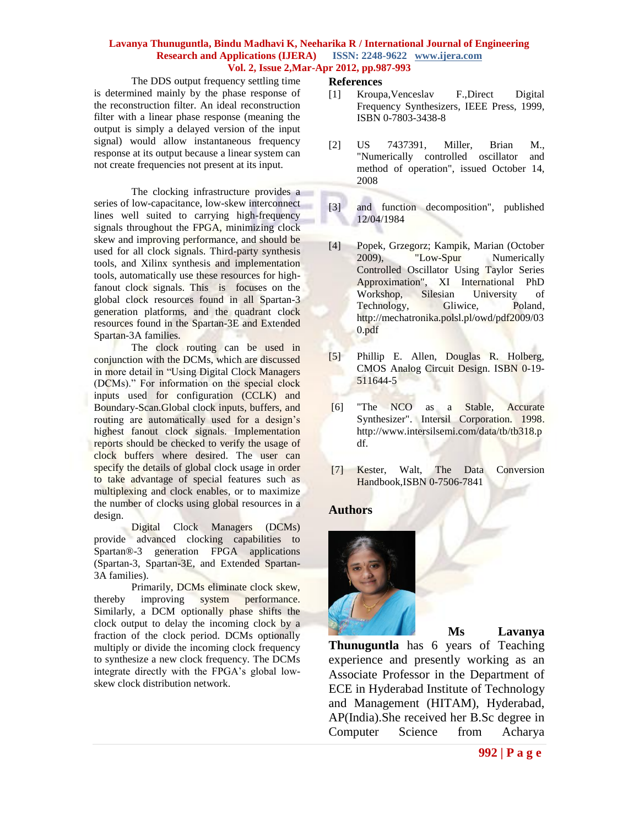**References**

The DDS output frequency settling time is determined mainly by the phase response of the reconstruction filter. An ideal reconstruction filter with a linear phase response (meaning the output is simply a delayed version of the input signal) would allow instantaneous frequency response at its output because a linear system can not create frequencies not present at its input.

The clocking infrastructure provides a series of low-capacitance, low-skew interconnect lines well suited to carrying high-frequency signals throughout the FPGA, minimizing clock skew and improving performance, and should be used for all clock signals. Third-party synthesis tools, and Xilinx synthesis and implementation tools, automatically use these resources for highfanout clock signals. This is focuses on the global clock resources found in all Spartan-3 generation platforms, and the quadrant clock resources found in the Spartan-3E and Extended Spartan-3A families.

The clock routing can be used in conjunction with the DCMs, which are discussed in more detail in "Using Digital Clock Managers (DCMs)." For information on the special clock inputs used for configuration (CCLK) and Boundary-Scan.Global clock inputs, buffers, and routing are automatically used for a design's highest fanout clock signals. Implementation reports should be checked to verify the usage of clock buffers where desired. The user can specify the details of global clock usage in order to take advantage of special features such as multiplexing and clock enables, or to maximize the number of clocks using global resources in a design.

Digital Clock Managers (DCMs) provide advanced clocking capabilities to Spartan®-3 generation FPGA applications (Spartan-3, Spartan-3E, and Extended Spartan-3A families).

Primarily, DCMs eliminate clock skew, thereby improving system performance. Similarly, a DCM optionally phase shifts the clock output to delay the incoming clock by a fraction of the clock period. DCMs optionally multiply or divide the incoming clock frequency to synthesize a new clock frequency. The DCMs integrate directly with the FPGA's global lowskew clock distribution network.

- [1] Kroupa,Venceslav F.,Direct Digital Frequency Synthesizers, IEEE Press, 1999, [ISBN 0-7803-3438-8](http://en.wikipedia.org/wiki/Special:BookSources/0780334388)
- [2] [US 7437391,](http://v3.espacenet.com/textdoc?DB=EPODOC&IDX=US7437391) Miller, Brian M., "Numerically controlled oscillator and method of operation", issued October 14, 2008
- [3] and function decomposition", published 12/04/1984
- [4] Popek, Grzegorz; Kampik, Marian (October 2009), ["Low-Spur Numerically](http://mechatronika.polsl.pl/owd/pdf2009/030.pdf)  [Controlled Oscillator Using Taylor Series](http://mechatronika.polsl.pl/owd/pdf2009/030.pdf)  [Approximation",](http://mechatronika.polsl.pl/owd/pdf2009/030.pdf) XI International PhD Workshop, Silesian University of Technology, Gliwice, Poland, [http://mechatronika.polsl.pl/owd/pdf2009/03](http://mechatronika.polsl.pl/owd/pdf2009/030.pdf) [0.pdf](http://mechatronika.polsl.pl/owd/pdf2009/030.pdf)
- [5] Phillip E. Allen, Douglas R. Holberg, CMOS Analog Circuit Design. [ISBN 0-19-](http://en.wikipedia.org/wiki/Special:BookSources/0195116445) [511644-5](http://en.wikipedia.org/wiki/Special:BookSources/0195116445)
- [6] ["The NCO as a Stable, Accurate](http://www.intersilsemi.com/data/tb/tb318.pdf)  [Synthesizer".](http://www.intersilsemi.com/data/tb/tb318.pdf) Intersil Corporation. 1998. [http://www.intersilsemi.com/data/tb/tb318.p](http://www.intersilsemi.com/data/tb/tb318.pdf) [df.](http://www.intersilsemi.com/data/tb/tb318.pdf)
- [7] Kester, Walt, [The Data Conversion](http://www.analog.com/library/analogDialogue/archives/39-06/data_conversion_handbook.html)  [Handbook,](http://www.analog.com/library/analogDialogue/archives/39-06/data_conversion_handbook.html)[ISBN](http://en.wikipedia.org/wiki/International_Standard_Book_Number) [0-7506-7841](http://en.wikipedia.org/wiki/Special:BookSources/0-7506-7841-0)

# **Authors**



**Ms Lavanya** 

**Thunuguntla** has 6 years of Teaching experience and presently working as an Associate Professor in the Department of ECE in Hyderabad Institute of Technology and Management (HITAM), Hyderabad, AP(India).She received her B.Sc degree in Computer Science from Acharya